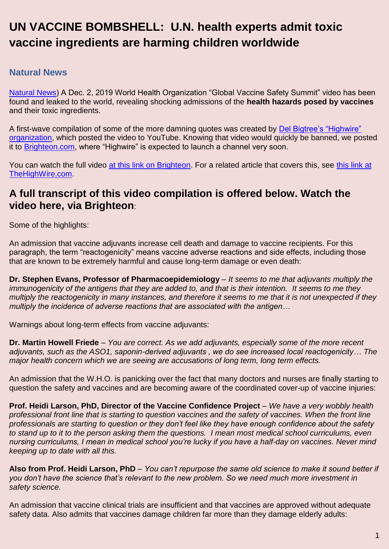# **UN VACCINE BOMBSHELL: U.N. health experts admit toxic vaccine ingredients are harming children worldwide**

# **Natural News**

[Natural News\)](https://www.naturalnews.com/) A Dec. 2, 2019 World Health Organization "Global Vaccine Safety Summit" video has been found and leaked to the world, revealing shocking admissions of the **health hazards posed by vaccines** and their toxic ingredients.

A first-wave compilation of some of the more damning quotes was created by [Del Bigtree's "Highwire"](https://thehighwire.com/)  [organization,](https://thehighwire.com/) which posted the video to YouTube. Knowing that video would quickly be banned, we posted it to [Brighteon.com,](http://brighteon.com/) where "Highwire" is expected to launch a channel very soon.

You can watch the full video [at this link on Brighteon.](https://www.brighteon.com/3dec332d-fd96-4654-a72f-55b702bd9262) For a related article that covers this, see this link at [TheHighWire.com.](https://thehighwire.com/ignored-warnings-an-unauthorized-history-of-the-who/)

# **A full transcript of this video compilation is offered below. Watch the video here, via Brighteon**:

Some of the highlights:

An admission that vaccine adjuvants increase cell death and damage to vaccine recipients. For this paragraph, the term "reactogenicity" means vaccine adverse reactions and side effects, including those that are known to be extremely harmful and cause long-term damage or even death:

**Dr. Stephen Evans, Professor of Pharmacoepidemiology** – *It seems to me that adjuvants multiply the immunogenicity of the antigens that they are added to, and that is their intention. It seems to me they multiply the reactogenicity in many instances, and therefore it seems to me that it is not unexpected if they multiply the incidence of adverse reactions that are associated with the antigen…*

Warnings about long-term effects from vaccine adjuvants:

**Dr. Martin Howell Friede** – *You are correct. As we add adjuvants, especially some of the more recent adjuvants, such as the ASO1, saponin-derived adjuvants , we do see increased local reactogenicity… The major health concern which we are seeing are accusations of long term, long term effects.*

An admission that the W.H.O. is panicking over the fact that many doctors and nurses are finally starting to question the safety and vaccines and are becoming aware of the coordinated cover-up of vaccine injuries:

**Prof. Heidi Larson, PhD, Director of the Vaccine Confidence Project** – *We have a very wobbly health professional front line that is starting to question vaccines and the safety of vaccines. When the front line professionals are starting to question or they don't feel like they have enough confidence about the safety to stand up to it to the person asking them the questions. I mean most medical school curriculums, even nursing curriculums, I mean in medical school you're lucky if you have a half-day on vaccines. Never mind keeping up to date with all this.*

**Also from Prof. Heidi Larson, PhD** – *You can't repurpose the same old science to make it sound better if you don't have the science that's relevant to the new problem. So we need much more investment in safety science.*

An admission that vaccine clinical trials are insufficient and that vaccines are approved without adequate safety data. Also admits that vaccines damage children far more than they damage elderly adults: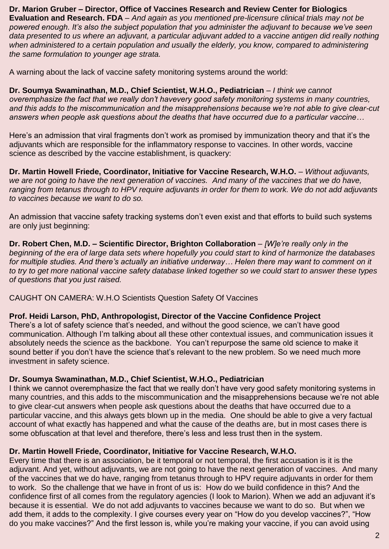**Dr. Marion Gruber – Director, Office of Vaccines Research and Review Center for Biologics Evaluation and Research. FDA** – *And again as you mentioned pre-licensure clinical trials may not be powered enough. It's also the subject population that you administer the adjuvant to because we've seen data presented to us where an adjuvant, a particular adjuvant added to a vaccine antigen did really nothing when administered to a certain population and usually the elderly, you know, compared to administering the same formulation to younger age strata.*

A warning about the lack of vaccine safety monitoring systems around the world:

**Dr. Soumya Swaminathan, M.D., Chief Scientist, W.H.O., Pediatrician** – *I think we cannot overemphasize the fact that we really don't havevery good safety monitoring systems in many countries, and this adds to the miscommunication and the misapprehensions because we're not able to give clear-cut answers when people ask questions about the deaths that have occurred due to a particular vaccine…*

Here's an admission that viral fragments don't work as promised by immunization theory and that it's the adjuvants which are responsible for the inflammatory response to vaccines. In other words, vaccine science as described by the vaccine establishment, is quackery:

**Dr. Martin Howell Friede, Coordinator, Initiative for Vaccine Research, W.H.O.** – *Without adjuvants, we are not going to have the next generation of vaccines. And many of the vaccines that we do have, ranging from tetanus through to HPV require adjuvants in order for them to work. We do not add adjuvants to vaccines because we want to do so.*

An admission that vaccine safety tracking systems don't even exist and that efforts to build such systems are only just beginning:

**Dr. Robert Chen, M.D. – Scientific Director, Brighton Collaboration** – *[W]e're really only in the beginning of the era of large data sets where hopefully you could start to kind of harmonize the databases for multiple studies. And there's actually an initiative underway… Helen there may want to comment on it to try to get more national vaccine safety database linked together so we could start to answer these types of questions that you just raised.*

CAUGHT ON CAMERA: W.H.O Scientists Question Safety Of Vaccines

#### **Prof. Heidi Larson, PhD, Anthropologist, Director of the Vaccine Confidence Project**

There's a lot of safety science that's needed, and without the good science, we can't have good communication. Although I'm talking about all these other contextual issues, and communication issues it absolutely needs the science as the backbone. You can't repurpose the same old science to make it sound better if you don't have the science that's relevant to the new problem. So we need much more investment in safety science.

#### **Dr. Soumya Swaminathan, M.D., Chief Scientist, W.H.O., Pediatrician**

I think we cannot overemphasize the fact that we really don't have very good safety monitoring systems in many countries, and this adds to the miscommunication and the misapprehensions because we're not able to give clear-cut answers when people ask questions about the deaths that have occurred due to a particular vaccine, and this always gets blown up in the media. One should be able to give a very factual account of what exactly has happened and what the cause of the deaths are, but in most cases there is some obfuscation at that level and therefore, there's less and less trust then in the system.

#### **Dr. Martin Howell Friede, Coordinator, Initiative for Vaccine Research, W.H.O.**

Every time that there is an association, be it temporal or not temporal, the first accusation is it is the adjuvant. And yet, without adjuvants, we are not going to have the next generation of vaccines. And many of the vaccines that we do have, ranging from tetanus through to HPV require adjuvants in order for them to work. So the challenge that we have in front of us is: How do we build confidence in this? And the confidence first of all comes from the regulatory agencies (I look to Marion). When we add an adjuvant it's because it is essential. We do not add adjuvants to vaccines because we want to do so. But when we add them, it adds to the complexity. I give courses every year on "How do you develop vaccines?", "How do you make vaccines?" And the first lesson is, while you're making your vaccine, if you can avoid using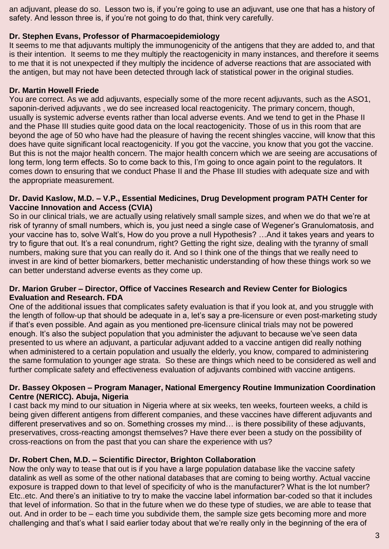an adjuvant, please do so. Lesson two is, if you're going to use an adjuvant, use one that has a history of safety. And lesson three is, if you're not going to do that, think very carefully.

# **Dr. Stephen Evans, Professor of Pharmacoepidemiology**

It seems to me that adjuvants multiply the immunogenicity of the antigens that they are added to, and that is their intention. It seems to me they multiply the reactogenicity in many instances, and therefore it seems to me that it is not unexpected if they multiply the incidence of adverse reactions that are associated with the antigen, but may not have been detected through lack of statistical power in the original studies.

# **Dr. Martin Howell Friede**

You are correct. As we add adjuvants, especially some of the more recent adjuvants, such as the ASO1, saponin-derived adjuvants , we do see increased local reactogenicity. The primary concern, though, usually is systemic adverse events rather than local adverse events. And we tend to get in the Phase II and the Phase III studies quite good data on the local reactogenicity. Those of us in this room that are beyond the age of 50 who have had the pleasure of having the recent shingles vaccine, will know that this does have quite significant local reactogenicity. If you got the vaccine, you know that you got the vaccine. But this is not the major health concern. The major health concern which we are seeing are accusations of long term, long term effects. So to come back to this, I'm going to once again point to the regulators. It comes down to ensuring that we conduct Phase II and the Phase III studies with adequate size and with the appropriate measurement.

### **Dr. David Kaslow, M.D. – V.P., Essential Medicines, Drug Development program PATH Center for Vaccine Innovation and Access (CVIA)**

So in our clinical trials, we are actually using relatively small sample sizes, and when we do that we're at risk of tyranny of small numbers, which is, you just need a single case of Wegener's Granulomatosis, and your vaccine has to, solve Walt's, How do you prove a null Hypothesis? …And it takes years and years to try to figure that out. It's a real conundrum, right? Getting the right size, dealing with the tyranny of small numbers, making sure that you can really do it. And so I think one of the things that we really need to invest in are kind of better biomarkers, better mechanistic understanding of how these things work so we can better understand adverse events as they come up.

# **Dr. Marion Gruber – Director, Office of Vaccines Research and Review Center for Biologics Evaluation and Research. FDA**

One of the additional issues that complicates safety evaluation is that if you look at, and you struggle with the length of follow-up that should be adequate in a, let's say a pre-licensure or even post-marketing study if that's even possible. And again as you mentioned pre-licensure clinical trials may not be powered enough. It's also the subject population that you administer the adjuvant to because we've seen data presented to us where an adjuvant, a particular adjuvant added to a vaccine antigen did really nothing when administered to a certain population and usually the elderly, you know, compared to administering the same formulation to younger age strata. So these are things which need to be considered as well and further complicate safety and effectiveness evaluation of adjuvants combined with vaccine antigens.

# **Dr. Bassey Okposen – Program Manager, National Emergency Routine Immunization Coordination Centre (NERICC). Abuja, Nigeria**

I cast back my mind to our situation in Nigeria where at six weeks, ten weeks, fourteen weeks, a child is being given different antigens from different companies, and these vaccines have different adjuvants and different preservatives and so on. Something crosses my mind… is there possibility of these adjuvants, preservatives, cross-reacting amongst themselves? Have there ever been a study on the possibility of cross-reactions on from the past that you can share the experience with us?

# **Dr. Robert Chen, M.D. – Scientific Director, Brighton Collaboration**

Now the only way to tease that out is if you have a large population database like the vaccine safety datalink as well as some of the other national databases that are coming to being worthy. Actual vaccine exposure is trapped down to that level of specificity of who is the manufacturer? What is the lot number? Etc..etc. And there's an initiative to try to make the vaccine label information bar-coded so that it includes that level of information. So that in the future when we do these type of studies, we are able to tease that out. And in order to be – each time you subdivide them, the sample size gets becoming more and more challenging and that's what I said earlier today about that we're really only in the beginning of the era of